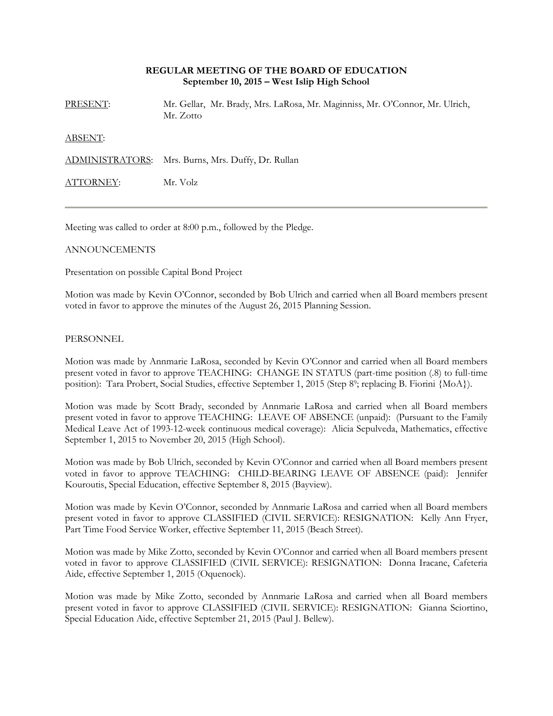## **REGULAR MEETING OF THE BOARD OF EDUCATION September 10, 2015 – West Islip High School**

PRESENT: Mr. Gellar, Mr. Brady, Mrs. LaRosa, Mr. Maginniss, Mr. O'Connor, Mr. Ulrich, Mr. Zotto

ABSENT:

ADMINISTRATORS: Mrs. Burns, Mrs. Duffy, Dr. Rullan

ATTORNEY: Mr. Volz

Meeting was called to order at 8:00 p.m., followed by the Pledge.

## ANNOUNCEMENTS

Presentation on possible Capital Bond Project

Motion was made by Kevin O'Connor, seconded by Bob Ulrich and carried when all Board members present voted in favor to approve the minutes of the August 26, 2015 Planning Session.

PERSONNEL

Motion was made by Annmarie LaRosa, seconded by Kevin O'Connor and carried when all Board members present voted in favor to approve TEACHING: CHANGE IN STATUS (part-time position (.8) to full-time position): Tara Probert, Social Studies, effective September 1, 2015 (Step 89; replacing B. Fiorini {MoA}).

Motion was made by Scott Brady, seconded by Annmarie LaRosa and carried when all Board members present voted in favor to approve TEACHING: LEAVE OF ABSENCE (unpaid): (Pursuant to the Family Medical Leave Act of 1993-12-week continuous medical coverage): Alicia Sepulveda, Mathematics, effective September 1, 2015 to November 20, 2015 (High School).

Motion was made by Bob Ulrich, seconded by Kevin O'Connor and carried when all Board members present voted in favor to approve TEACHING: CHILD-BEARING LEAVE OF ABSENCE (paid): Jennifer Kouroutis, Special Education, effective September 8, 2015 (Bayview).

Motion was made by Kevin O'Connor, seconded by Annmarie LaRosa and carried when all Board members present voted in favor to approve CLASSIFIED (CIVIL SERVICE): RESIGNATION: Kelly Ann Fryer, Part Time Food Service Worker, effective September 11, 2015 (Beach Street).

Motion was made by Mike Zotto, seconded by Kevin O'Connor and carried when all Board members present voted in favor to approve CLASSIFIED (CIVIL SERVICE): RESIGNATION: Donna Iracane, Cafeteria Aide, effective September 1, 2015 (Oquenock).

Motion was made by Mike Zotto, seconded by Annmarie LaRosa and carried when all Board members present voted in favor to approve CLASSIFIED (CIVIL SERVICE): RESIGNATION: Gianna Sciortino, Special Education Aide, effective September 21, 2015 (Paul J. Bellew).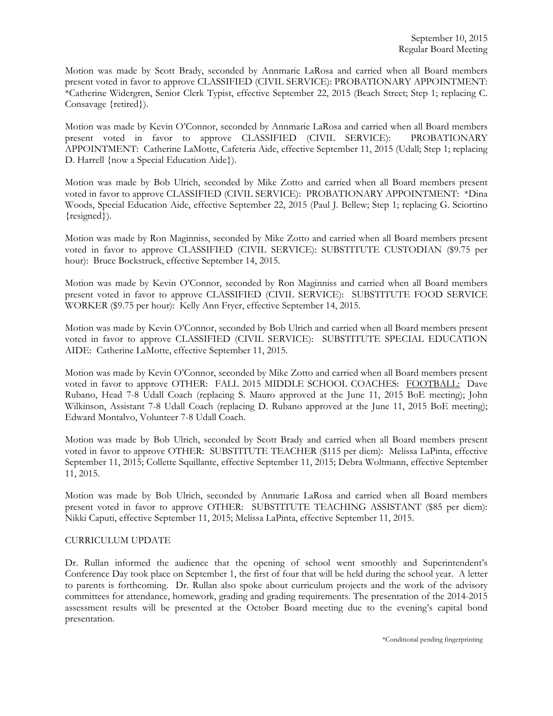Motion was made by Scott Brady, seconded by Annmarie LaRosa and carried when all Board members present voted in favor to approve CLASSIFIED (CIVIL SERVICE): PROBATIONARY APPOINTMENT: \*Catherine Widergren, Senior Clerk Typist, effective September 22, 2015 (Beach Street; Step 1; replacing C. Consavage {retired}).

Motion was made by Kevin O'Connor, seconded by Annmarie LaRosa and carried when all Board members present voted in favor to approve CLASSIFIED (CIVIL SERVICE): PROBATIONARY APPOINTMENT: Catherine LaMotte, Cafeteria Aide, effective September 11, 2015 (Udall; Step 1; replacing D. Harrell {now a Special Education Aide}).

Motion was made by Bob Ulrich, seconded by Mike Zotto and carried when all Board members present voted in favor to approve CLASSIFIED (CIVIL SERVICE): PROBATIONARY APPOINTMENT: \*Dina Woods, Special Education Aide, effective September 22, 2015 (Paul J. Bellew; Step 1; replacing G. Sciortino {resigned}).

Motion was made by Ron Maginniss, seconded by Mike Zotto and carried when all Board members present voted in favor to approve CLASSIFIED (CIVIL SERVICE): SUBSTITUTE CUSTODIAN (\$9.75 per hour): Bruce Bockstruck, effective September 14, 2015.

Motion was made by Kevin O'Connor, seconded by Ron Maginniss and carried when all Board members present voted in favor to approve CLASSIFIED (CIVIL SERVICE): SUBSTITUTE FOOD SERVICE WORKER (\$9.75 per hour): Kelly Ann Fryer, effective September 14, 2015.

Motion was made by Kevin O'Connor, seconded by Bob Ulrich and carried when all Board members present voted in favor to approve CLASSIFIED (CIVIL SERVICE): SUBSTITUTE SPECIAL EDUCATION AIDE: Catherine LaMotte, effective September 11, 2015.

Motion was made by Kevin O'Connor, seconded by Mike Zotto and carried when all Board members present voted in favor to approve OTHER: FALL 2015 MIDDLE SCHOOL COACHES: FOOTBALL: Dave Rubano, Head 7-8 Udall Coach (replacing S. Mauro approved at the June 11, 2015 BoE meeting); John Wilkinson, Assistant 7-8 Udall Coach (replacing D. Rubano approved at the June 11, 2015 BoE meeting); Edward Montalvo, Volunteer 7-8 Udall Coach.

Motion was made by Bob Ulrich, seconded by Scott Brady and carried when all Board members present voted in favor to approve OTHER: SUBSTITUTE TEACHER (\$115 per diem): Melissa LaPinta, effective September 11, 2015; Collette Squillante, effective September 11, 2015; Debra Woltmann, effective September 11, 2015.

Motion was made by Bob Ulrich, seconded by Annmarie LaRosa and carried when all Board members present voted in favor to approve OTHER: SUBSTITUTE TEACHING ASSISTANT (\$85 per diem): Nikki Caputi, effective September 11, 2015; Melissa LaPinta, effective September 11, 2015.

# CURRICULUM UPDATE

Dr. Rullan informed the audience that the opening of school went smoothly and Superintendent's Conference Day took place on September 1, the first of four that will be held during the school year. A letter to parents is forthcoming. Dr. Rullan also spoke about curriculum projects and the work of the advisory committees for attendance, homework, grading and grading requirements. The presentation of the 2014-2015 assessment results will be presented at the October Board meeting due to the evening's capital bond presentation.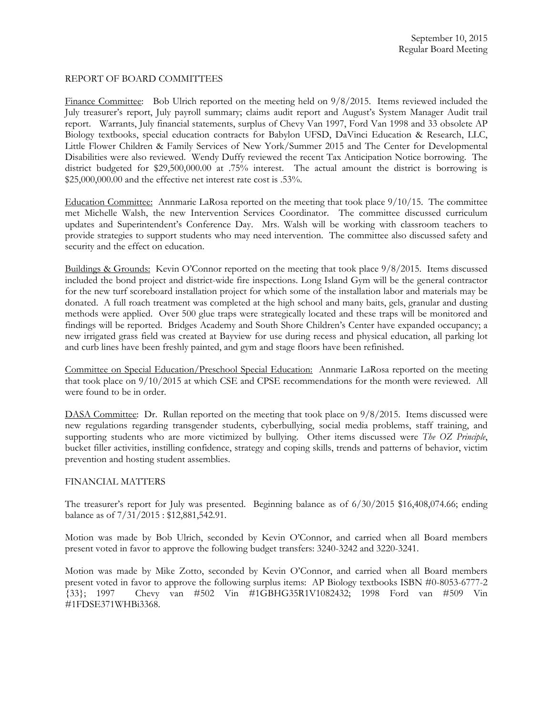#### REPORT OF BOARD COMMITTEES

Finance Committee: Bob Ulrich reported on the meeting held on 9/8/2015. Items reviewed included the July treasurer's report, July payroll summary; claims audit report and August's System Manager Audit trail report. Warrants, July financial statements, surplus of Chevy Van 1997, Ford Van 1998 and 33 obsolete AP Biology textbooks, special education contracts for Babylon UFSD, DaVinci Education & Research, LLC, Little Flower Children & Family Services of New York/Summer 2015 and The Center for Developmental Disabilities were also reviewed. Wendy Duffy reviewed the recent Tax Anticipation Notice borrowing. The district budgeted for \$29,500,000.00 at .75% interest. The actual amount the district is borrowing is \$25,000,000.00 and the effective net interest rate cost is .53%.

Education Committee: Annmarie LaRosa reported on the meeting that took place 9/10/15. The committee met Michelle Walsh, the new Intervention Services Coordinator. The committee discussed curriculum updates and Superintendent's Conference Day. Mrs. Walsh will be working with classroom teachers to provide strategies to support students who may need intervention. The committee also discussed safety and security and the effect on education.

Buildings & Grounds: Kevin O'Connor reported on the meeting that took place 9/8/2015. Items discussed included the bond project and district-wide fire inspections. Long Island Gym will be the general contractor for the new turf scoreboard installation project for which some of the installation labor and materials may be donated. A full roach treatment was completed at the high school and many baits, gels, granular and dusting methods were applied. Over 500 glue traps were strategically located and these traps will be monitored and findings will be reported. Bridges Academy and South Shore Children's Center have expanded occupancy; a new irrigated grass field was created at Bayview for use during recess and physical education, all parking lot and curb lines have been freshly painted, and gym and stage floors have been refinished.

Committee on Special Education/Preschool Special Education: Annmarie LaRosa reported on the meeting that took place on 9/10/2015 at which CSE and CPSE recommendations for the month were reviewed. All were found to be in order.

DASA Committee: Dr. Rullan reported on the meeting that took place on 9/8/2015. Items discussed were new regulations regarding transgender students, cyberbullying, social media problems, staff training, and supporting students who are more victimized by bullying. Other items discussed were *The OZ Principle*, bucket filler activities, instilling confidence, strategy and coping skills, trends and patterns of behavior, victim prevention and hosting student assemblies.

## FINANCIAL MATTERS

The treasurer's report for July was presented. Beginning balance as of 6/30/2015 \$16,408,074.66; ending balance as of 7/31/2015 : \$12,881,542.91.

Motion was made by Bob Ulrich, seconded by Kevin O'Connor, and carried when all Board members present voted in favor to approve the following budget transfers: 3240-3242 and 3220-3241.

Motion was made by Mike Zotto, seconded by Kevin O'Connor, and carried when all Board members present voted in favor to approve the following surplus items: AP Biology textbooks ISBN #0-8053-6777-2 {33}; 1997 Chevy van #502 Vin #1GBHG35R1V1082432; 1998 Ford van #509 Vin #1FDSE371WHBi3368.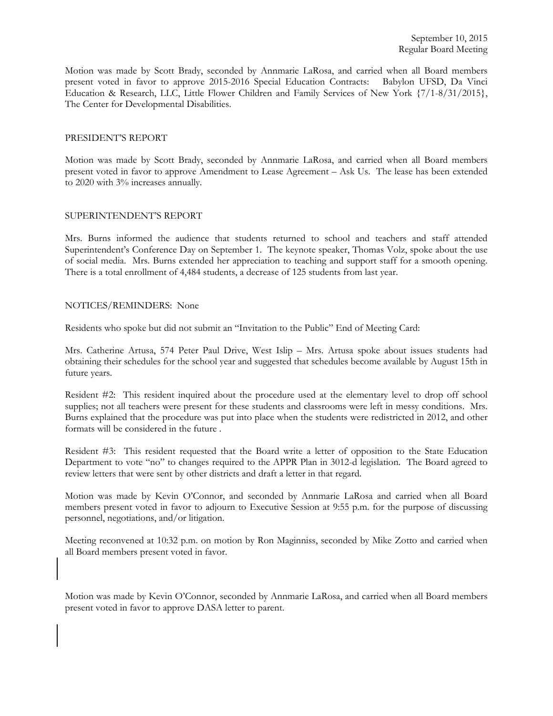Motion was made by Scott Brady, seconded by Annmarie LaRosa, and carried when all Board members present voted in favor to approve 2015-2016 Special Education Contracts: Babylon UFSD, Da Vinci Education & Research, LLC, Little Flower Children and Family Services of New York {7/1-8/31/2015}, The Center for Developmental Disabilities.

#### PRESIDENT'S REPORT

Motion was made by Scott Brady, seconded by Annmarie LaRosa, and carried when all Board members present voted in favor to approve Amendment to Lease Agreement – Ask Us. The lease has been extended to 2020 with 3% increases annually.

## SUPERINTENDENT'S REPORT

Mrs. Burns informed the audience that students returned to school and teachers and staff attended Superintendent's Conference Day on September 1. The keynote speaker, Thomas Volz, spoke about the use of social media. Mrs. Burns extended her appreciation to teaching and support staff for a smooth opening. There is a total enrollment of 4,484 students, a decrease of 125 students from last year.

#### NOTICES/REMINDERS: None

Residents who spoke but did not submit an "Invitation to the Public" End of Meeting Card:

Mrs. Catherine Artusa, 574 Peter Paul Drive, West Islip – Mrs. Artusa spoke about issues students had obtaining their schedules for the school year and suggested that schedules become available by August 15th in future years.

Resident #2: This resident inquired about the procedure used at the elementary level to drop off school supplies; not all teachers were present for these students and classrooms were left in messy conditions. Mrs. Burns explained that the procedure was put into place when the students were redistricted in 2012, and other formats will be considered in the future .

Resident #3: This resident requested that the Board write a letter of opposition to the State Education Department to vote "no" to changes required to the APPR Plan in 3012-d legislation. The Board agreed to review letters that were sent by other districts and draft a letter in that regard.

Motion was made by Kevin O'Connor, and seconded by Annmarie LaRosa and carried when all Board members present voted in favor to adjourn to Executive Session at 9:55 p.m. for the purpose of discussing personnel, negotiations, and/or litigation.

Meeting reconvened at 10:32 p.m. on motion by Ron Maginniss, seconded by Mike Zotto and carried when all Board members present voted in favor.

Motion was made by Kevin O'Connor, seconded by Annmarie LaRosa, and carried when all Board members present voted in favor to approve DASA letter to parent.